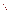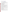# **Consumer Factsheet on: BERYLLIUM**

[List of Contaminants](http://www.epa.gov/safewater/hfacts.html) 

 As part of the Drinking Water and Health pages, this fact sheet is part of a larger publication: **National Primary Drinking Water Regulations** 

 States Environmental Protection Agency (EPA). This is a factsheet about a chemical that may be found in some public or private drinking water supplies. It may cause health problems if found in amounts greater than the health standard set by the United

## **What is Beryllium and how is it used?**

 Beryllium is a metal found in natural deposits as ores containing other elements, and in some precious stones such as emeralds and aquamarine. The greatest use of beryllium is in making metal alloys for nuclear reactors and the aerospace industry.

# **Why is Beryllium being regulated?**

In 1974, Congress passed the Safe Drinking Water Act. This law requires EPA to determine safe levels of chemicals in drinking water which do or may cause health problems These non-enforceable levels, based solely on possible health risks and exposure, are called Maximum Contaminant Level Goals.

 protection would not cause any of the potential health problems described below. The MCLG for beryllium has been set at 4 parts per billion (ppb) because EPA believes this level of

 Based on this MCLG, EPA has set an enforceable standard called a Maximum Contaminant Level (MCL). MCLs are set as close to the MCLGs as possible, considering the ability of public water systems to detect and remove contaminants using suitable treatment technologies.

 should it occur in drinking water. The MCL has also been set at 4 ppb because EPA believes, given present technology and resources, this is the lowest level to which water systems can reasonably be required to remove this contaminant

These drinking water standards and the regulations for ensuring these standards are met, are called National Primary Drinking Water Regulations. All public water supplies must abide by these regulations.

## **What are the health effects?**

 Short-term: EPA has found barium to potentially cause the following health effects when people are inhaled; less toxic in drinking water. exposed to it at levels above the MCL for relatively short periods of time: inflammation of the lungs when

 above the MCL: damage to bones and lungs; cancer. Long-term: Beryllium has the potential to cause the following effects from a lifetime exposure at levels

# **How much Beryllium is produced and released to the environment?**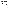Production of beryllium metal was 490,000 lbs. in 1986. It is released principally in the smoke stacks and ash wastes of power plants which burn coal. It is also found in discharges from other industrial and municipal operations. Rocket exhaust products also consist of various beryllium compounds.

 From 1987 to 1993, according to the Toxics Release Inventory beryllium releases to land and water totaled over 340,000 lbs. These releases were primarily from copper rolling and drawing industries which use it as a hardener in alloys. The largest releases occurred in Pennsylvania and Ohio.

# **What happens to Beryllium when it is released to the environment?**

 compounds into surface waters is not likely to be in a soluble form. Very little is known about what happens to beryllium compounds when released to the environment. It appears unlikely to leach to ground water when released to land. Erosion or runoff of beryllium

#### **How will Beryllium be detected in and removed from my drinking water?**

 The regulation for beryllium became effective in 1994. Between 1993 and 1995, EPA required your water it is present above this level, the system must continue to monitor this contaminant every 3 months. supplier to collect water samples once and analyze them to find out if beryllium is present above 4 ppb. If

If contaminant levels are found to be consistently above the MCL, your water supplier must take steps to reduce the amount of beryllium so that it is consistently below that level. The following treatment methods have been approved by EPA for removing beryllium: Activated Alumina, Coagulation/filtration, Ion Exchange, Lime Softening, Reverse Osmosis.

## **How will I know if Beryllium is in my drinking water?**

If the levels of beryllium exceed the MCL, the system must notify the public via newspapers, radio, TV and other means. Additional actions, such as providing alternative drinking water supplies, may be required to prevent serious risks to public health.

 States Environmental Protection Agency (EPA). This is a factsheet about a chemical that may be found in some public or private drinking water supplies. It may cause health problems if found in amounts greater than the health standard set by the United

## **Drinking Water Standards:**

MCLG: 4 ppb

MCL: 4 ppb

#### **Beryllium Releases to Water and Land, 1987 to 1993 (in pounds):**

|               | Water | Land    |
|---------------|-------|---------|
| <b>TOTALS</b> | 1.314 | 341,721 |